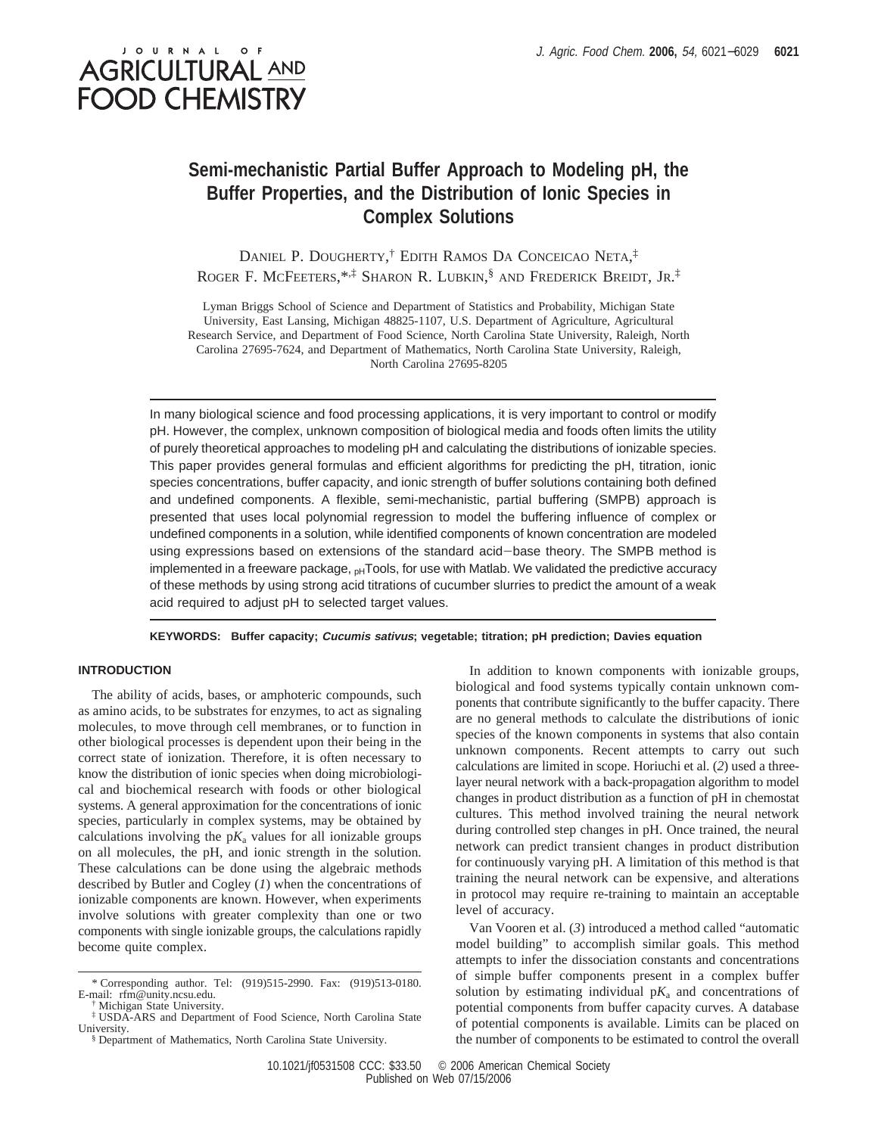# J O U R N A L **AGRICULTURAL AND FOOD CHEMISTRY**

## **Semi-mechanistic Partial Buffer Approach to Modeling pH, the Buffer Properties, and the Distribution of Ionic Species in Complex Solutions**

DANIEL P. DOUGHERTY, † EDITH RAMOS DA CONCEICAO NETA, ‡ ROGER F. MCFEETERS,\*,‡ SHARON R. LUBKIN, § AND FREDERICK BREIDT, JR. ‡

Lyman Briggs School of Science and Department of Statistics and Probability, Michigan State University, East Lansing, Michigan 48825-1107, U.S. Department of Agriculture, Agricultural Research Service, and Department of Food Science, North Carolina State University, Raleigh, North Carolina 27695-7624, and Department of Mathematics, North Carolina State University, Raleigh, North Carolina 27695-8205

In many biological science and food processing applications, it is very important to control or modify pH. However, the complex, unknown composition of biological media and foods often limits the utility of purely theoretical approaches to modeling pH and calculating the distributions of ionizable species. This paper provides general formulas and efficient algorithms for predicting the pH, titration, ionic species concentrations, buffer capacity, and ionic strength of buffer solutions containing both defined and undefined components. A flexible, semi-mechanistic, partial buffering (SMPB) approach is presented that uses local polynomial regression to model the buffering influence of complex or undefined components in a solution, while identified components of known concentration are modeled using expressions based on extensions of the standard acid-base theory. The SMPB method is implemented in a freeware package,  $_{\text{pH}}$ Tools, for use with Matlab. We validated the predictive accuracy of these methods by using strong acid titrations of cucumber slurries to predict the amount of a weak acid required to adjust pH to selected target values.

**KEYWORDS: Buffer capacity; Cucumis sativus; vegetable; titration; pH prediction; Davies equation**

## **INTRODUCTION**

The ability of acids, bases, or amphoteric compounds, such as amino acids, to be substrates for enzymes, to act as signaling molecules, to move through cell membranes, or to function in other biological processes is dependent upon their being in the correct state of ionization. Therefore, it is often necessary to know the distribution of ionic species when doing microbiological and biochemical research with foods or other biological systems. A general approximation for the concentrations of ionic species, particularly in complex systems, may be obtained by calculations involving the  $pK_a$  values for all ionizable groups on all molecules, the pH, and ionic strength in the solution. These calculations can be done using the algebraic methods described by Butler and Cogley (*1*) when the concentrations of ionizable components are known. However, when experiments involve solutions with greater complexity than one or two components with single ionizable groups, the calculations rapidly become quite complex.

In addition to known components with ionizable groups, biological and food systems typically contain unknown components that contribute significantly to the buffer capacity. There are no general methods to calculate the distributions of ionic species of the known components in systems that also contain unknown components. Recent attempts to carry out such calculations are limited in scope. Horiuchi et al. (*2*) used a threelayer neural network with a back-propagation algorithm to model changes in product distribution as a function of pH in chemostat cultures. This method involved training the neural network during controlled step changes in pH. Once trained, the neural network can predict transient changes in product distribution for continuously varying pH. A limitation of this method is that training the neural network can be expensive, and alterations in protocol may require re-training to maintain an acceptable level of accuracy.

Van Vooren et al. (*3*) introduced a method called "automatic model building" to accomplish similar goals. This method attempts to infer the dissociation constants and concentrations of simple buffer components present in a complex buffer solution by estimating individual  $pK_a$  and concentrations of potential components from buffer capacity curves. A database of potential components is available. Limits can be placed on the number of components to be estimated to control the overall

<sup>\*</sup> Corresponding author. Tel: (919)515-2990. Fax: (919)513-0180. E-mail: rfm@unity.ncsu.edu.

<sup>†</sup> Michigan State University.

<sup>‡</sup> USDA-ARS and Department of Food Science, North Carolina State University.

<sup>§</sup> Department of Mathematics, North Carolina State University.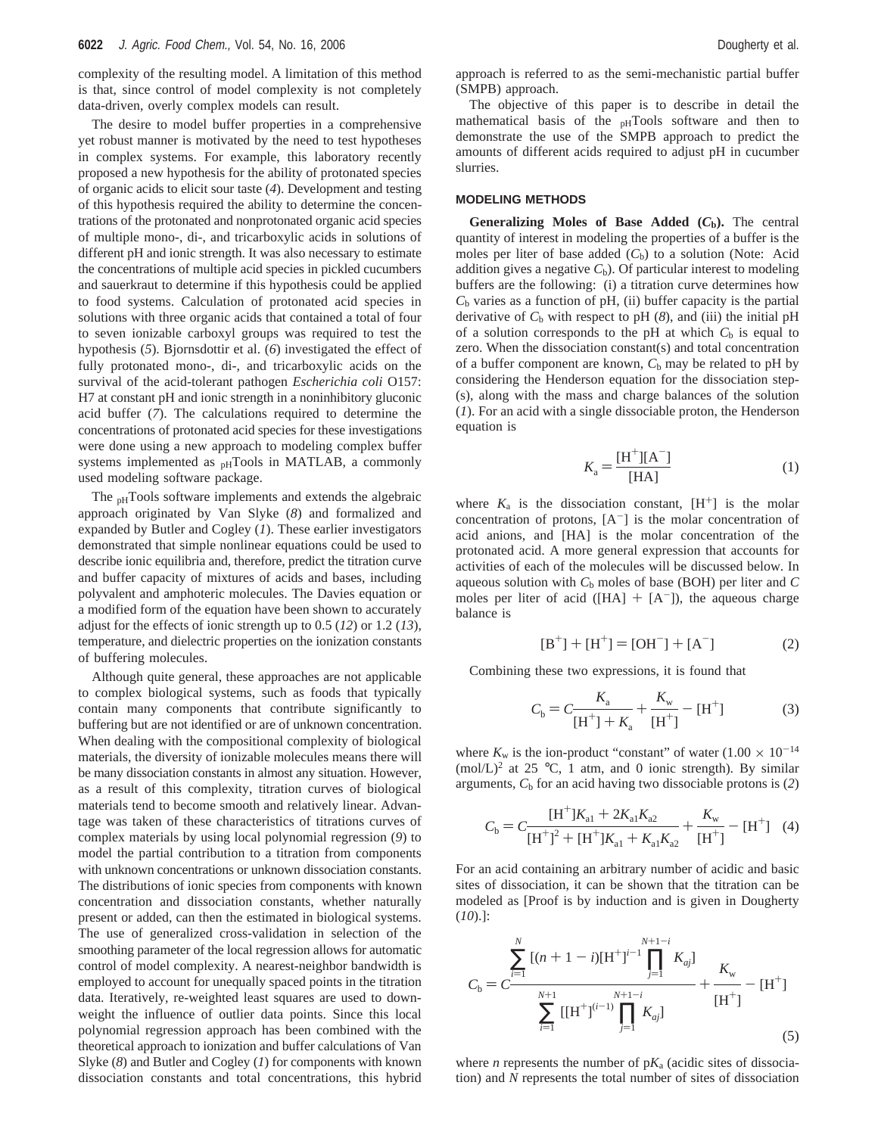complexity of the resulting model. A limitation of this method is that, since control of model complexity is not completely data-driven, overly complex models can result.

The desire to model buffer properties in a comprehensive yet robust manner is motivated by the need to test hypotheses in complex systems. For example, this laboratory recently proposed a new hypothesis for the ability of protonated species of organic acids to elicit sour taste (*4*). Development and testing of this hypothesis required the ability to determine the concentrations of the protonated and nonprotonated organic acid species of multiple mono-, di-, and tricarboxylic acids in solutions of different pH and ionic strength. It was also necessary to estimate the concentrations of multiple acid species in pickled cucumbers and sauerkraut to determine if this hypothesis could be applied to food systems. Calculation of protonated acid species in solutions with three organic acids that contained a total of four to seven ionizable carboxyl groups was required to test the hypothesis (*5*). Bjornsdottir et al. (*6*) investigated the effect of fully protonated mono-, di-, and tricarboxylic acids on the survival of the acid-tolerant pathogen *Escherichia coli* O157: H7 at constant pH and ionic strength in a noninhibitory gluconic acid buffer (*7*). The calculations required to determine the concentrations of protonated acid species for these investigations were done using a new approach to modeling complex buffer systems implemented as  $_{pH}$ Tools in MATLAB, a commonly used modeling software package.

The **pHTools** software implements and extends the algebraic approach originated by Van Slyke (*8*) and formalized and expanded by Butler and Cogley (*1*). These earlier investigators demonstrated that simple nonlinear equations could be used to describe ionic equilibria and, therefore, predict the titration curve and buffer capacity of mixtures of acids and bases, including polyvalent and amphoteric molecules. The Davies equation or a modified form of the equation have been shown to accurately adjust for the effects of ionic strength up to 0.5 (*12*) or 1.2 (*13*), temperature, and dielectric properties on the ionization constants of buffering molecules.

Although quite general, these approaches are not applicable to complex biological systems, such as foods that typically contain many components that contribute significantly to buffering but are not identified or are of unknown concentration. When dealing with the compositional complexity of biological materials, the diversity of ionizable molecules means there will be many dissociation constants in almost any situation. However, as a result of this complexity, titration curves of biological materials tend to become smooth and relatively linear. Advantage was taken of these characteristics of titrations curves of complex materials by using local polynomial regression (*9*) to model the partial contribution to a titration from components with unknown concentrations or unknown dissociation constants. The distributions of ionic species from components with known concentration and dissociation constants, whether naturally present or added, can then the estimated in biological systems. The use of generalized cross-validation in selection of the smoothing parameter of the local regression allows for automatic control of model complexity. A nearest-neighbor bandwidth is employed to account for unequally spaced points in the titration data. Iteratively, re-weighted least squares are used to downweight the influence of outlier data points. Since this local polynomial regression approach has been combined with the theoretical approach to ionization and buffer calculations of Van Slyke (*8*) and Butler and Cogley (*1*) for components with known dissociation constants and total concentrations, this hybrid

approach is referred to as the semi-mechanistic partial buffer (SMPB) approach.

The objective of this paper is to describe in detail the mathematical basis of the  $p<sub>H</sub>$ Tools software and then to demonstrate the use of the SMPB approach to predict the amounts of different acids required to adjust pH in cucumber slurries.

#### **MODELING METHODS**

**Generalizing Moles of Base Added**  $(C_b)$ **.** The central quantity of interest in modeling the properties of a buffer is the moles per liter of base added  $(C_b)$  to a solution (Note: Acid addition gives a negative  $C<sub>b</sub>$ ). Of particular interest to modeling buffers are the following: (i) a titration curve determines how  $C<sub>b</sub>$  varies as a function of pH, (ii) buffer capacity is the partial derivative of  $C<sub>b</sub>$  with respect to pH  $(8)$ , and (iii) the initial pH of a solution corresponds to the pH at which  $C<sub>b</sub>$  is equal to zero. When the dissociation constant(s) and total concentration of a buffer component are known,  $C<sub>b</sub>$  may be related to pH by considering the Henderson equation for the dissociation step- (s), along with the mass and charge balances of the solution (*1*). For an acid with a single dissociable proton, the Henderson equation is

$$
K_{\rm a} = \frac{\left[\rm H^+\right]\left[\rm A^-\right]}{\left[\rm HA\right]} \tag{1}
$$

where  $K_a$  is the dissociation constant,  $[H^+]$  is the molar concentration of protons,  $[A^-]$  is the molar concentration of acid anions, and [HA] is the molar concentration of the protonated acid. A more general expression that accounts for activities of each of the molecules will be discussed below. In aqueous solution with *C*<sup>b</sup> moles of base (BOH) per liter and *C* moles per liter of acid ([HA]  $+$  [A<sup>-</sup>]), the aqueous charge balance is

$$
[B^{+}] + [H^{+}] = [OH^{-}] + [A^{-}]
$$
 (2)

Combining these two expressions, it is found that

$$
C_{b} = C \frac{K_{a}}{[H^{+}] + K_{a}} + \frac{K_{w}}{[H^{+}]} - [H^{+}]
$$
 (3)

where  $K_w$  is the ion-product "constant" of water (1.00  $\times$  10<sup>-14</sup>  $(mol/L)^2$  at 25 °C, 1 atm, and 0 ionic strength). By similar arguments,  $C<sub>b</sub>$  for an acid having two dissociable protons is (2)

$$
C_{b} = C \frac{[H^{+}]K_{a1} + 2K_{a1}K_{a2}}{[H^{+}]^{2} + [H^{+}]K_{a1} + K_{a1}K_{a2}} + \frac{K_{w}}{[H^{+}]} - [H^{+}] \quad (4)
$$

For an acid containing an arbitrary number of acidic and basic sites of dissociation, it can be shown that the titration can be modeled as [Proof is by induction and is given in Dougherty (*10*).]:

$$
C_{\rm b} = C \frac{\sum_{i=1}^{N} [(n+1-i)[H^+]^{i-1} \prod_{j=1}^{N+1-i} K_{aj}]}{\sum_{i=1}^{N+1} [[H^+]^{(i-1)} \prod_{j=1}^{N+1-i} K_{aj}]} + \frac{K_{\rm w}}{[H^+]} - [H^+] \tag{5}
$$

where *n* represents the number of  $pK_a$  (acidic sites of dissociation) and *N* represents the total number of sites of dissociation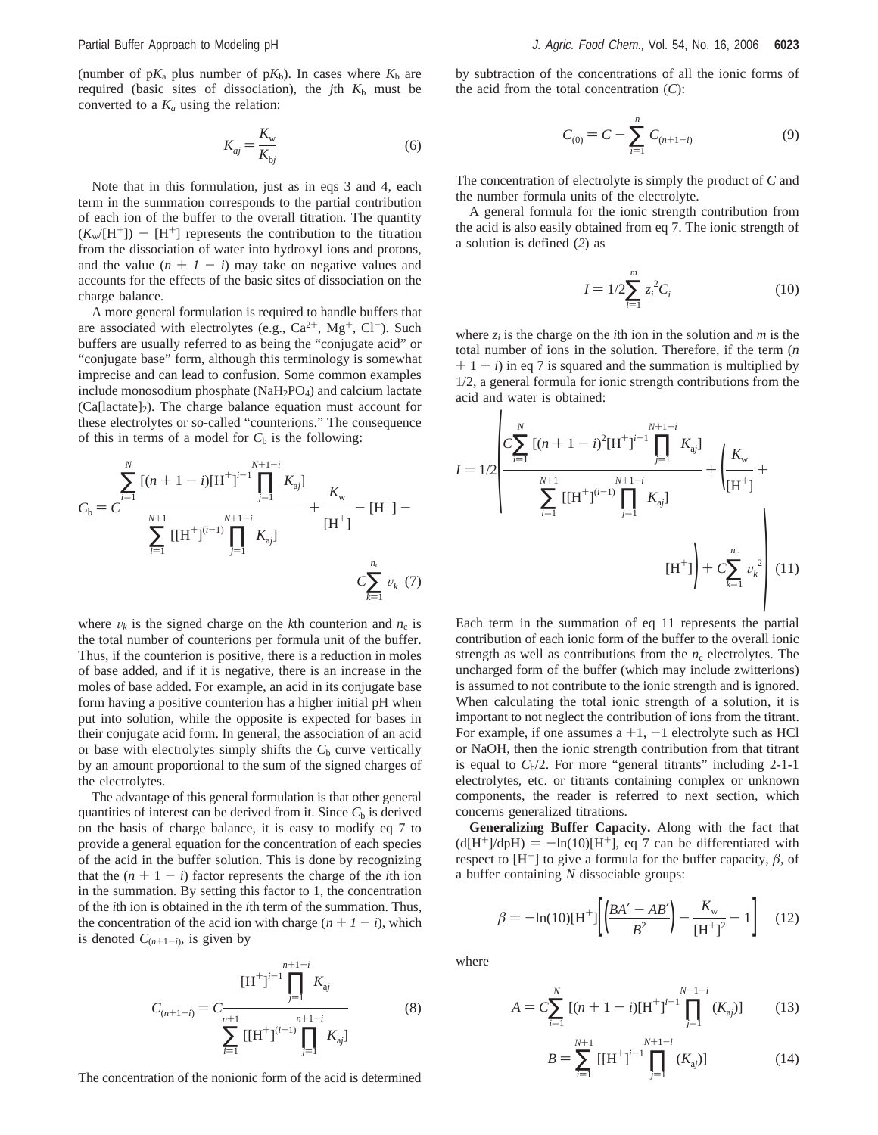(number of  $pK_a$  plus number of  $pK_b$ ). In cases where  $K_b$  are required (basic sites of dissociation), the *j*th  $K<sub>b</sub>$  must be converted to a  $K_a$  using the relation:

$$
K_{aj} = \frac{K_{\rm w}}{K_{\rm b}j} \tag{6}
$$

Note that in this formulation, just as in eqs 3 and 4, each term in the summation corresponds to the partial contribution of each ion of the buffer to the overall titration. The quantity  $(K_w/[H^+]) - [H^+]$  represents the contribution to the titration from the dissociation of water into hydroxyl ions and protons, and the value  $(n + 1 - i)$  may take on negative values and accounts for the effects of the basic sites of dissociation on the charge balance.

A more general formulation is required to handle buffers that are associated with electrolytes (e.g.,  $Ca^{2+}$ ,  $Mg^{+}$ , Cl<sup>-</sup>). Such buffers are usually referred to as being the "conjugate acid" or "conjugate base" form, although this terminology is somewhat imprecise and can lead to confusion. Some common examples include monosodium phosphate (NaH2PO4) and calcium lactate  $(Ca[lactate]_2)$ . The charge balance equation must account for these electrolytes or so-called "counterions." The consequence of this in terms of a model for  $C<sub>b</sub>$  is the following:

$$
C_{\rm b} = C \frac{\sum_{i=1}^{N} [(n+1-i)[H^+]^{i-1} \prod_{j=1}^{N+1-i} K_{aj}]}{\sum_{i=1}^{N+1} [[H^+]^{(i-1)} \prod_{j=1}^{N+1-i} K_{aj}]} + \frac{K_{\rm w}}{[H^+]} - [H^+] - C \sum_{k=1}^{n_{\rm c}} v_k (7)
$$

where  $v_k$  is the signed charge on the *k*th counterion and  $n_c$  is the total number of counterions per formula unit of the buffer. Thus, if the counterion is positive, there is a reduction in moles of base added, and if it is negative, there is an increase in the moles of base added. For example, an acid in its conjugate base form having a positive counterion has a higher initial pH when put into solution, while the opposite is expected for bases in their conjugate acid form. In general, the association of an acid or base with electrolytes simply shifts the  $C<sub>b</sub>$  curve vertically by an amount proportional to the sum of the signed charges of the electrolytes.

The advantage of this general formulation is that other general quantities of interest can be derived from it. Since  $C<sub>b</sub>$  is derived on the basis of charge balance, it is easy to modify eq 7 to provide a general equation for the concentration of each species of the acid in the buffer solution. This is done by recognizing that the  $(n + 1 - i)$  factor represents the charge of the *i*th ion in the summation. By setting this factor to 1, the concentration of the *i*th ion is obtained in the *i*th term of the summation. Thus, the concentration of the acid ion with charge  $(n + 1 - i)$ , which is denoted  $C_{(n+1-i)}$ , is given by

$$
C_{(n+1-i)} = C \frac{\left[\mathrm{H}^{+}\right]^{i-1} \prod_{j=1}^{n+1-i} K_{aj}}{\sum_{i=1}^{n+1} \left[\mathrm{H}^{+}\right]^{(i-1)} \prod_{j=1}^{n+1-i} K_{aj}\right]}
$$
(8)

The concentration of the nonionic form of the acid is determined

by subtraction of the concentrations of all the ionic forms of the acid from the total concentration (*C*):

$$
C_{(0)} = C - \sum_{i=1}^{n} C_{(n+1-i)}
$$
 (9)

The concentration of electrolyte is simply the product of *C* and the number formula units of the electrolyte.

A general formula for the ionic strength contribution from the acid is also easily obtained from eq 7. The ionic strength of a solution is defined (*2*) as

$$
I = 1/2 \sum_{i=1}^{m} z_i^2 C_i
$$
 (10)

where  $z_i$  is the charge on the *i*th ion in the solution and *m* is the total number of ions in the solution. Therefore, if the term (*n*  $+ 1 - i$  in eq 7 is squared and the summation is multiplied by 1/2, a general formula for ionic strength contributions from the acid and water is obtained:

$$
I = 1/2 \left( \frac{C \sum_{i=1}^{N} [(n+1-i)^{2} [H^{+}]^{i-1} \prod_{j=1}^{N+1-i} K_{aj}]}{\sum_{i=1}^{N+1} [(H^{+}]^{(i-1)} \prod_{j=1}^{N+1-i} K_{aj}]} + \left( \frac{K_{w}}{[H^{+}]} + \frac{K_{w}}{[H^{+}]}\right) + C \sum_{k=1}^{n_{c}} v_{k}^{2} \right) (11)
$$

Each term in the summation of eq  $11$  represents the partial contribution of each ionic form of the buffer to the overall ionic strength as well as contributions from the  $n_c$  electrolytes. The uncharged form of the buffer (which may include zwitterions) is assumed to not contribute to the ionic strength and is ignored. When calculating the total ionic strength of a solution, it is important to not neglect the contribution of ions from the titrant. For example, if one assumes  $a +1$ ,  $-1$  electrolyte such as HCl or NaOH, then the ionic strength contribution from that titrant is equal to  $C<sub>b</sub>/2$ . For more "general titrants" including 2-1-1 electrolytes, etc. or titrants containing complex or unknown components, the reader is referred to next section, which concerns generalized titrations.

**Generalizing Buffer Capacity.** Along with the fact that  $(d[H^+]/dpH) = -ln(10)[H^+]$ , eq 7 can be differentiated with respect to  $[H^+]$  to give a formula for the buffer capacity,  $\beta$ , of a buffer containing *N* dissociable groups:

$$
\beta = -\ln(10)[\text{H}^+]\left[\left(\frac{BA' - AB'}{B^2}\right) - \frac{K_{\text{w}}}{\text{[H}^+]^2} - 1\right] \quad (12)
$$

where

$$
A = C \sum_{i=1}^{N} [(n+1-i)[H^+]^{i-1} \prod_{j=1}^{N+1-i} (K_{aj})]
$$
 (13)

$$
B = \sum_{i=1}^{N+1} [[H^+]^{i-1} \prod_{j=1}^{N+1-i} (K_{aj})]
$$
 (14)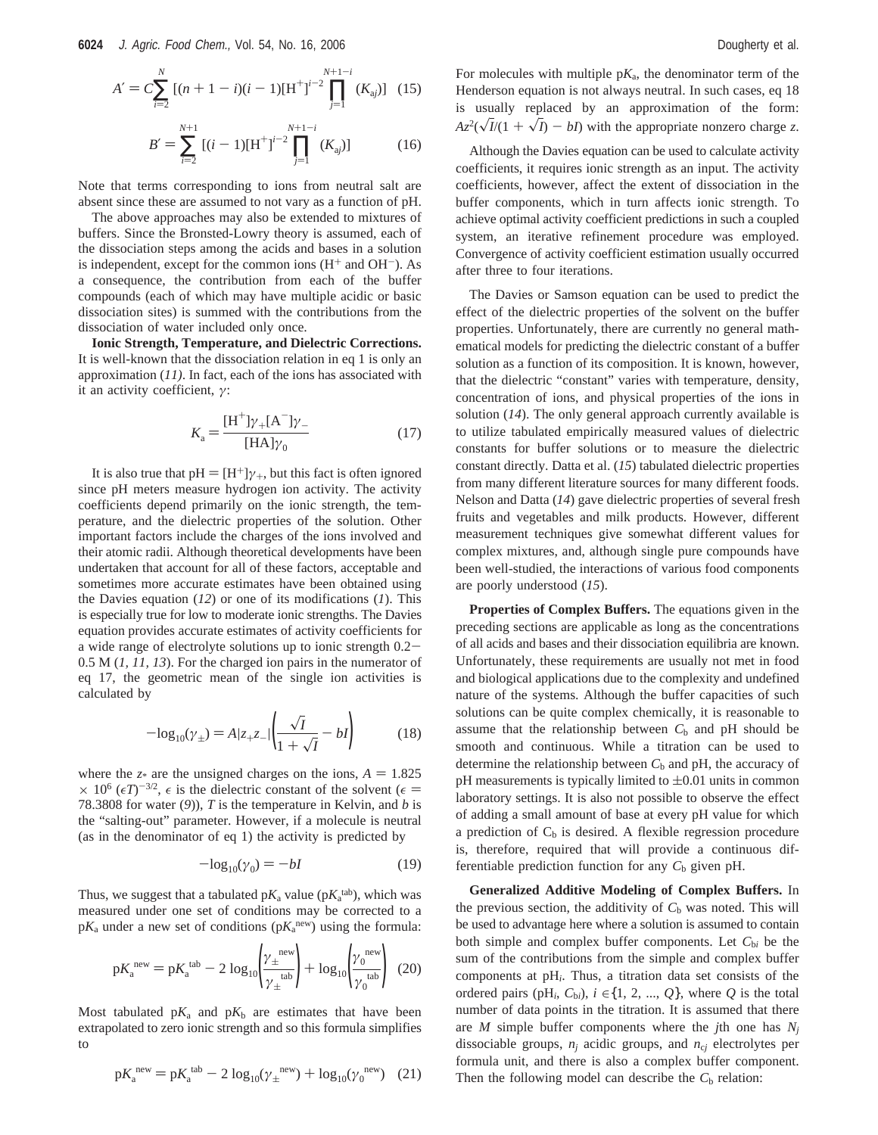$$
A' = C \sum_{i=2}^{N} \left[ (n+1-i)(i-1)[\mathbf{H}^+]^{i-2} \prod_{j=1}^{N+1-i} (K_{aj}) \right] (15)
$$

$$
B' = \sum_{i=2}^{N+1} [(i-1)[H^+]^{i-2} \prod_{j=1}^{N+1-i} (K_{aj})]
$$
 (16)

Note that terms corresponding to ions from neutral salt are absent since these are assumed to not vary as a function of pH.

The above approaches may also be extended to mixtures of buffers. Since the Bronsted-Lowry theory is assumed, each of the dissociation steps among the acids and bases in a solution is independent, except for the common ions  $(H^+ \text{ and } OH^-)$ . As a consequence, the contribution from each of the buffer compounds (each of which may have multiple acidic or basic dissociation sites) is summed with the contributions from the dissociation of water included only once.

**Ionic Strength, Temperature, and Dielectric Corrections.** It is well-known that the dissociation relation in eq 1 is only an approximation (*11)*. In fact, each of the ions has associated with it an activity coefficient, *γ*:

$$
K_{\rm a} = \frac{[\rm H^+]\gamma_+ [\rm A^-]\gamma_-}{[\rm HA]\gamma_0} \tag{17}
$$

It is also true that  $pH = [H^+] \gamma_+$ , but this fact is often ignored since pH meters measure hydrogen ion activity. The activity coefficients depend primarily on the ionic strength, the temperature, and the dielectric properties of the solution. Other important factors include the charges of the ions involved and their atomic radii. Although theoretical developments have been undertaken that account for all of these factors, acceptable and sometimes more accurate estimates have been obtained using the Davies equation (*12*) or one of its modifications (*1*). This is especially true for low to moderate ionic strengths. The Davies equation provides accurate estimates of activity coefficients for a wide range of electrolyte solutions up to ionic strength 0.2- 0.5 M (*1, 11, 13*). For the charged ion pairs in the numerator of eq 17, the geometric mean of the single ion activities is calculated by

$$
-\log_{10}(\gamma_{\pm}) = A|z_{+}z_{-}|\left(\frac{\sqrt{I}}{1+\sqrt{I}} - bI\right)
$$
 (18)

where the  $z^*$  are the unsigned charges on the ions,  $A = 1.825$  $\times$  10<sup>6</sup> ( $\epsilon T$ )<sup>-3/2</sup>,  $\epsilon$  is the dielectric constant of the solvent ( $\epsilon$  = 78.3808 for water (*9*)), *T* is the temperature in Kelvin, and *b* is the "salting-out" parameter. However, if a molecule is neutral (as in the denominator of eq 1) the activity is predicted by

$$
-\log_{10}(\gamma_0) = -bI \tag{19}
$$

Thus, we suggest that a tabulated  $pK_a$  value ( $pK_a^{tab}$ ), which was measured under one set of conditions may be corrected to a  $pK_a$  under a new set of conditions ( $pK_a^{new}$ ) using the formula:

$$
pK_{\rm a}^{\rm new} = pK_{\rm a}^{\rm tab} - 2\log_{10}\left(\frac{\gamma_{\pm}^{\rm new}}{\gamma_{\pm}^{\rm tab}}\right) + \log_{10}\left(\frac{\gamma_{\rm 0}^{\rm new}}{\gamma_{\rm 0}^{\rm tab}}\right) (20)
$$

Most tabulated  $pK_a$  and  $pK_b$  are estimates that have been extrapolated to zero ionic strength and so this formula simplifies to

$$
pK_a^{\text{new}} = pK_a^{\text{tab}} - 2\log_{10}(\gamma_{\pm}^{\text{new}}) + \log_{10}(\gamma_0^{\text{new}}) \quad (21)
$$

For molecules with multiple  $pK_a$ , the denominator term of the Henderson equation is not always neutral. In such cases, eq 18 is usually replaced by an approximation of the form:  $Az^2(\sqrt{I}/(1 + \sqrt{I}) - bI)$  with the appropriate nonzero charge *z*.

Although the Davies equation can be used to calculate activity coefficients, it requires ionic strength as an input. The activity coefficients, however, affect the extent of dissociation in the buffer components, which in turn affects ionic strength. To achieve optimal activity coefficient predictions in such a coupled system, an iterative refinement procedure was employed. Convergence of activity coefficient estimation usually occurred after three to four iterations.

The Davies or Samson equation can be used to predict the effect of the dielectric properties of the solvent on the buffer properties. Unfortunately, there are currently no general mathematical models for predicting the dielectric constant of a buffer solution as a function of its composition. It is known, however, that the dielectric "constant" varies with temperature, density, concentration of ions, and physical properties of the ions in solution (*14*). The only general approach currently available is to utilize tabulated empirically measured values of dielectric constants for buffer solutions or to measure the dielectric constant directly. Datta et al. (*15*) tabulated dielectric properties from many different literature sources for many different foods. Nelson and Datta (*14*) gave dielectric properties of several fresh fruits and vegetables and milk products. However, different measurement techniques give somewhat different values for complex mixtures, and, although single pure compounds have been well-studied, the interactions of various food components are poorly understood (*15*).

**Properties of Complex Buffers.** The equations given in the preceding sections are applicable as long as the concentrations of all acids and bases and their dissociation equilibria are known. Unfortunately, these requirements are usually not met in food and biological applications due to the complexity and undefined nature of the systems. Although the buffer capacities of such solutions can be quite complex chemically, it is reasonable to assume that the relationship between  $C<sub>b</sub>$  and pH should be smooth and continuous. While a titration can be used to determine the relationship between  $C<sub>b</sub>$  and pH, the accuracy of pH measurements is typically limited to  $\pm 0.01$  units in common laboratory settings. It is also not possible to observe the effect of adding a small amount of base at every pH value for which a prediction of  $C_b$  is desired. A flexible regression procedure is, therefore, required that will provide a continuous differentiable prediction function for any  $C<sub>b</sub>$  given pH.

**Generalized Additive Modeling of Complex Buffers.** In the previous section, the additivity of  $C<sub>b</sub>$  was noted. This will be used to advantage here where a solution is assumed to contain both simple and complex buffer components. Let  $C_{bi}$  be the sum of the contributions from the simple and complex buffer components at pH*i*. Thus, a titration data set consists of the ordered pairs (pH<sub>i</sub>,  $C_{bi}$ ),  $i \in \{1, 2, ..., Q\}$ , where *Q* is the total number of data points in the titration. It is assumed that there are *M* simple buffer components where the *j*th one has *Nj* dissociable groups,  $n_i$  acidic groups, and  $n_{ci}$  electrolytes per formula unit, and there is also a complex buffer component. Then the following model can describe the  $C<sub>b</sub>$  relation: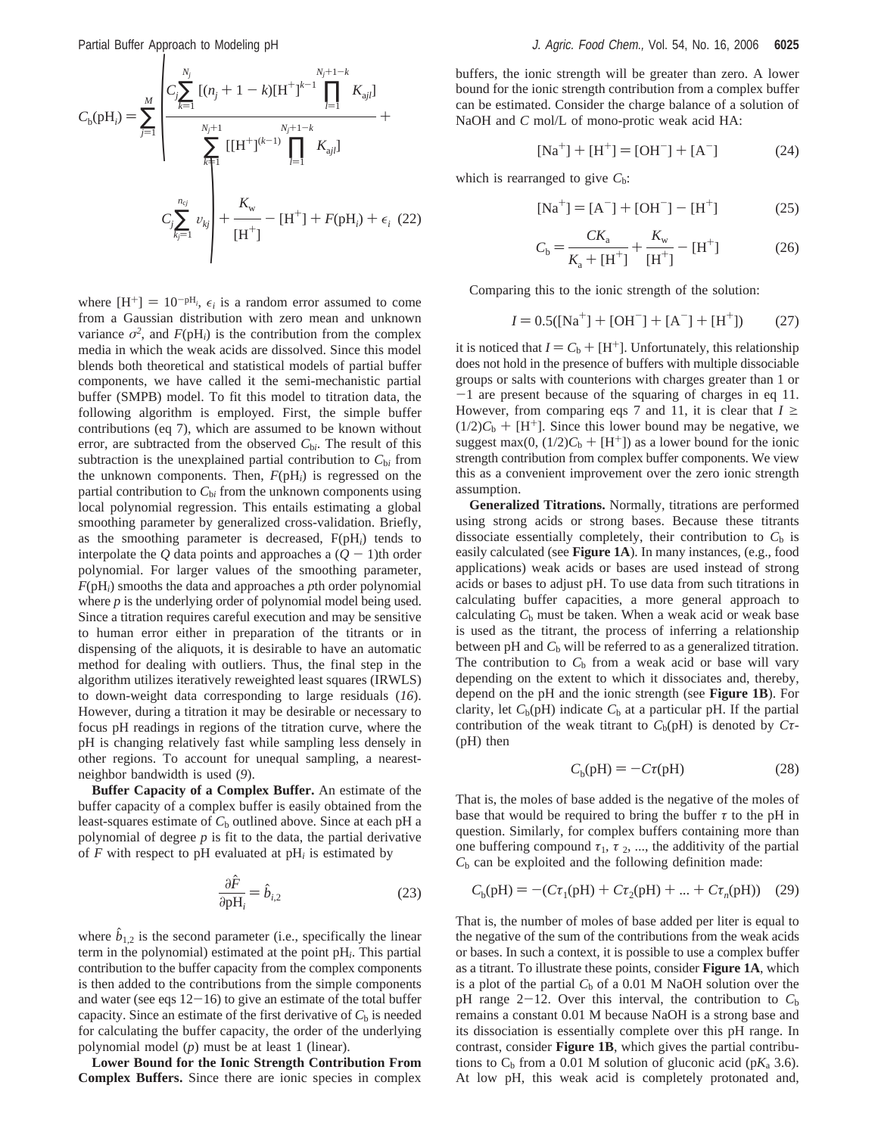$$
C_{\mathfrak{b}}(\mathbf{p}H_{i}) = \sum_{j=1}^{M} \left( \frac{C_{j} \sum_{k=1}^{N_{j}} \left[ (n_{j} + 1 - k) [\mathbf{H}^{+}]^{k-1} \prod_{l=1}^{N_{j}+1 - k} K_{\mathfrak{q}jl} \right]}{\sum_{k=1}^{N_{j}+1} \left[ [\mathbf{H}^{+}]^{(k-1)} \prod_{l=1}^{N_{j}+1 - k} K_{\mathfrak{q}jl} \right]} + \frac{C_{j} \sum_{k=1}^{n_{cj}} \nu_{kj} + \frac{K_{w}}{\left[ \mathbf{H}^{+} \right]} - \left[ \mathbf{H}^{+} \right] + F(\mathbf{p}H_{i}) + \epsilon_{i} \tag{22}
$$

where  $[H^+] = 10^{-pH_i}$ ,  $\epsilon_i$  is a random error assumed to come from a Gaussian distribution with zero mean and unknown variance  $\sigma^2$ , and  $F(pH_i)$  is the contribution from the complex media in which the weak acids are dissolved. Since this model blends both theoretical and statistical models of partial buffer components, we have called it the semi-mechanistic partial buffer (SMPB) model. To fit this model to titration data, the following algorithm is employed. First, the simple buffer contributions (eq 7), which are assumed to be known without error, are subtracted from the observed *C*<sup>b</sup>*i*. The result of this subtraction is the unexplained partial contribution to  $C_{bi}$  from the unknown components. Then, *F*(pH*i*) is regressed on the partial contribution to  $C_{bi}$  from the unknown components using local polynomial regression. This entails estimating a global smoothing parameter by generalized cross-validation. Briefly, as the smoothing parameter is decreased, F(pH*i*) tends to interpolate the *Q* data points and approaches a  $(Q - 1)$ th order polynomial. For larger values of the smoothing parameter, *F*(pH*i*) smooths the data and approaches a *p*th order polynomial where *p* is the underlying order of polynomial model being used. Since a titration requires careful execution and may be sensitive to human error either in preparation of the titrants or in dispensing of the aliquots, it is desirable to have an automatic method for dealing with outliers. Thus, the final step in the algorithm utilizes iteratively reweighted least squares (IRWLS) to down-weight data corresponding to large residuals (*16*). However, during a titration it may be desirable or necessary to focus pH readings in regions of the titration curve, where the pH is changing relatively fast while sampling less densely in other regions. To account for unequal sampling, a nearestneighbor bandwidth is used (*9*).

**Buffer Capacity of a Complex Buffer.** An estimate of the buffer capacity of a complex buffer is easily obtained from the least-squares estimate of  $C<sub>b</sub>$  outlined above. Since at each pH a polynomial of degree *p* is fit to the data, the partial derivative of  $F$  with respect to pH evaluated at  $pH_i$  is estimated by

$$
\frac{\partial \tilde{F}}{\partial \mathbf{p} \mathbf{H}_i} = \hat{b}_{i,2} \tag{23}
$$

where  $b_{1,2}$  is the second parameter (i.e., specifically the linear term in the polynomial) estimated at the point pH*i*. This partial contribution to the buffer capacity from the complex components is then added to the contributions from the simple components and water (see eqs  $12-16$ ) to give an estimate of the total buffer capacity. Since an estimate of the first derivative of  $C<sub>b</sub>$  is needed for calculating the buffer capacity, the order of the underlying polynomial model (*p*) must be at least 1 (linear).

**Lower Bound for the Ionic Strength Contribution From Complex Buffers.** Since there are ionic species in complex

buffers, the ionic strength will be greater than zero. A lower bound for the ionic strength contribution from a complex buffer can be estimated. Consider the charge balance of a solution of NaOH and *C* mol/L of mono-protic weak acid HA:

$$
[Na+] + [H+] = [OH-] + [A-] \t(24)
$$

which is rearranged to give  $C_b$ :

$$
[Na+] = [A-] + [OH-] - [H+] \t(25)
$$

$$
C_{\rm b} = \frac{CK_{\rm a}}{K_{\rm a} + [H^+] } + \frac{K_{\rm w}}{[H^+] } - [H^+] \tag{26}
$$

Comparing this to the ionic strength of the solution:

$$
I = 0.5([Na+] + [OH-] + [A-] + [H+])
$$
 (27)

it is noticed that  $I = C_b + [H^+]$ . Unfortunately, this relationship does not hold in the presence of buffers with multiple dissociable groups or salts with counterions with charges greater than 1 or -1 are present because of the squaring of charges in eq 11. However, from comparing eqs 7 and 11, it is clear that  $I \geq$  $(1/2)C_b + [H^+]$ . Since this lower bound may be negative, we suggest max(0,  $(1/2)C_b + [H^+]$ ) as a lower bound for the ionic strength contribution from complex buffer components. We view this as a convenient improvement over the zero ionic strength assumption.

**Generalized Titrations.** Normally, titrations are performed using strong acids or strong bases. Because these titrants dissociate essentially completely, their contribution to  $C<sub>b</sub>$  is easily calculated (see **Figure 1A**). In many instances, (e.g., food applications) weak acids or bases are used instead of strong acids or bases to adjust pH. To use data from such titrations in calculating buffer capacities, a more general approach to calculating *C*<sup>b</sup> must be taken. When a weak acid or weak base is used as the titrant, the process of inferring a relationship between pH and  $C<sub>b</sub>$  will be referred to as a generalized titration. The contribution to  $C<sub>b</sub>$  from a weak acid or base will vary depending on the extent to which it dissociates and, thereby, depend on the pH and the ionic strength (see **Figure 1B**). For clarity, let  $C_b(pH)$  indicate  $C_b$  at a particular pH. If the partial contribution of the weak titrant to  $C_b(pH)$  is denoted by  $C\tau$ -(pH) then

$$
C_{b}(pH) = -C\tau(pH)
$$
 (28)

That is, the moles of base added is the negative of the moles of base that would be required to bring the buffer  $\tau$  to the pH in question. Similarly, for complex buffers containing more than one buffering compound  $\tau_1$ ,  $\tau_2$ , ..., the additivity of the partial *C*<sup>b</sup> can be exploited and the following definition made:

$$
C_{b}(pH) = -(C\tau_{1}(pH) + C\tau_{2}(pH) + ... + C\tau_{n}(pH))
$$
 (29)

That is, the number of moles of base added per liter is equal to the negative of the sum of the contributions from the weak acids or bases. In such a context, it is possible to use a complex buffer as a titrant. To illustrate these points, consider **Figure 1A**, which is a plot of the partial  $C<sub>b</sub>$  of a 0.01 M NaOH solution over the pH range  $2-12$ . Over this interval, the contribution to  $C<sub>b</sub>$ remains a constant 0.01 M because NaOH is a strong base and its dissociation is essentially complete over this pH range. In contrast, consider **Figure 1B**, which gives the partial contributions to  $C_b$  from a 0.01 M solution of gluconic acid ( $pK_a$  3.6). At low pH, this weak acid is completely protonated and,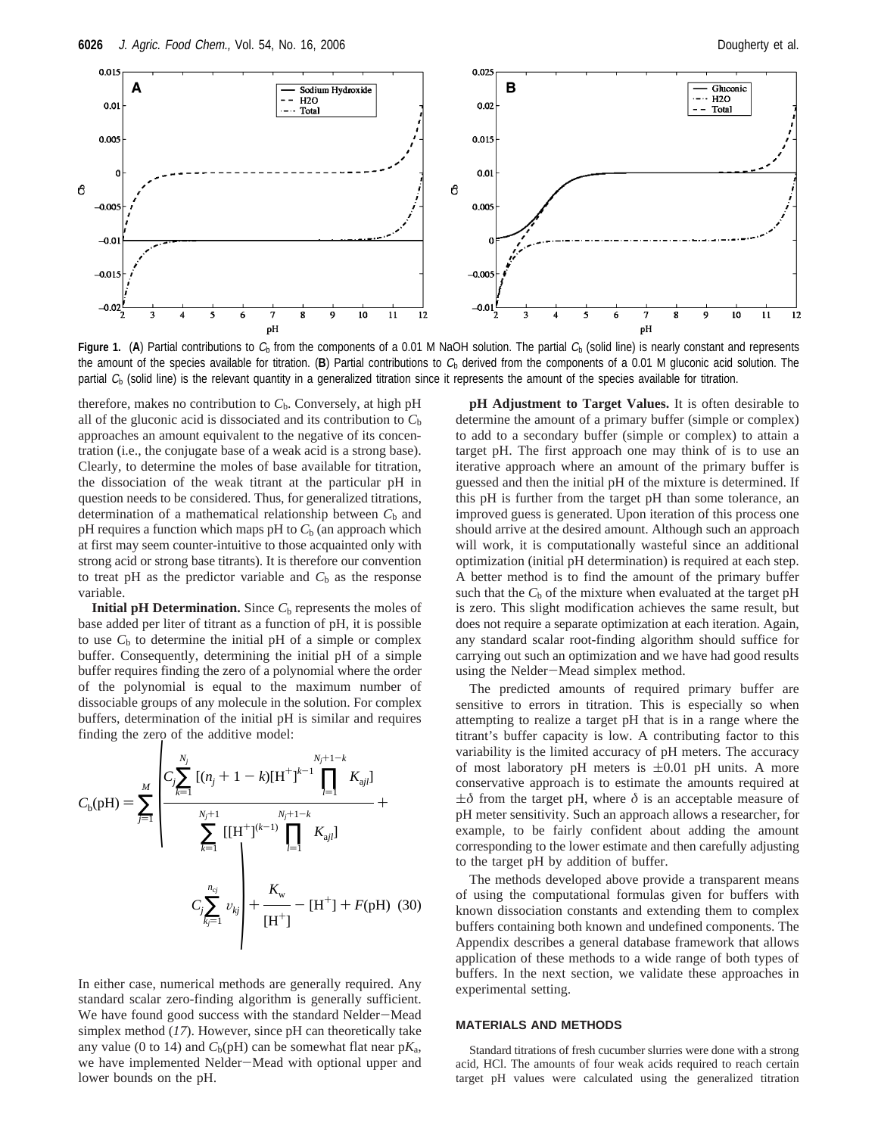

**Figure 1.** (A) Partial contributions to  $C<sub>b</sub>$  from the components of a 0.01 M NaOH solution. The partial  $C<sub>b</sub>$  (solid line) is nearly constant and represents the amount of the species available for titration. (**B**) Partial contributions to  $C<sub>b</sub>$  derived from the components of a 0.01 M gluconic acid solution. The partial  $C<sub>b</sub>$  (solid line) is the relevant quantity in a generalized titration since it represents the amount of the species available for titration.

therefore, makes no contribution to  $C<sub>b</sub>$ . Conversely, at high pH all of the gluconic acid is dissociated and its contribution to  $C<sub>b</sub>$ approaches an amount equivalent to the negative of its concentration (i.e., the conjugate base of a weak acid is a strong base). Clearly, to determine the moles of base available for titration, the dissociation of the weak titrant at the particular pH in question needs to be considered. Thus, for generalized titrations, determination of a mathematical relationship between *C*<sup>b</sup> and pH requires a function which maps pH to  $C<sub>b</sub>$  (an approach which at first may seem counter-intuitive to those acquainted only with strong acid or strong base titrants). It is therefore our convention to treat pH as the predictor variable and  $C<sub>b</sub>$  as the response variable.

**Initial pH Determination.** Since  $C<sub>b</sub>$  represents the moles of base added per liter of titrant as a function of pH, it is possible to use  $C<sub>b</sub>$  to determine the initial pH of a simple or complex buffer. Consequently, determining the initial pH of a simple buffer requires finding the zero of a polynomial where the order of the polynomial is equal to the maximum number of dissociable groups of any molecule in the solution. For complex buffers, determination of the initial pH is similar and requires finding the zero of the additive model:

$$
C_{b}(pH) = \sum_{j=1}^{M} \left( \frac{C_{j} \sum_{k=1}^{N_{j}} [(n_{j} + 1 - k)[H^{+}]^{k-1} \prod_{l=1}^{N_{j}+1 - k} K_{ajl}]}{\sum_{k=1}^{N_{j}+1} [[H^{+}]^{(k-1)} \prod_{l=1}^{N_{j}+1 - k} K_{ajl}]} + \frac{C_{j} \sum_{k=1}^{n_{cj}} \nu_{kj} \right) + \frac{K_{w}}{[H^{+}]} - [H^{+}] + F(pH) (30)
$$

In either case, numerical methods are generally required. Any standard scalar zero-finding algorithm is generally sufficient. We have found good success with the standard Nelder-Mead simplex method (*17*). However, since pH can theoretically take any value (0 to 14) and  $C_b(pH)$  can be somewhat flat near  $pK_a$ , we have implemented Nelder-Mead with optional upper and lower bounds on the pH.

**pH Adjustment to Target Values.** It is often desirable to determine the amount of a primary buffer (simple or complex) to add to a secondary buffer (simple or complex) to attain a target pH. The first approach one may think of is to use an iterative approach where an amount of the primary buffer is guessed and then the initial pH of the mixture is determined. If this pH is further from the target pH than some tolerance, an improved guess is generated. Upon iteration of this process one should arrive at the desired amount. Although such an approach will work, it is computationally wasteful since an additional optimization (initial pH determination) is required at each step. A better method is to find the amount of the primary buffer such that the  $C<sub>b</sub>$  of the mixture when evaluated at the target pH is zero. This slight modification achieves the same result, but does not require a separate optimization at each iteration. Again, any standard scalar root-finding algorithm should suffice for carrying out such an optimization and we have had good results using the Nelder-Mead simplex method.

The predicted amounts of required primary buffer are sensitive to errors in titration. This is especially so when attempting to realize a target pH that is in a range where the titrant's buffer capacity is low. A contributing factor to this variability is the limited accuracy of pH meters. The accuracy of most laboratory pH meters is  $\pm 0.01$  pH units. A more conservative approach is to estimate the amounts required at  $\pm \delta$  from the target pH, where  $\delta$  is an acceptable measure of pH meter sensitivity. Such an approach allows a researcher, for example, to be fairly confident about adding the amount corresponding to the lower estimate and then carefully adjusting to the target pH by addition of buffer.

The methods developed above provide a transparent means of using the computational formulas given for buffers with known dissociation constants and extending them to complex buffers containing both known and undefined components. The Appendix describes a general database framework that allows application of these methods to a wide range of both types of buffers. In the next section, we validate these approaches in experimental setting.

#### **MATERIALS AND METHODS**

Standard titrations of fresh cucumber slurries were done with a strong acid, HCl. The amounts of four weak acids required to reach certain target pH values were calculated using the generalized titration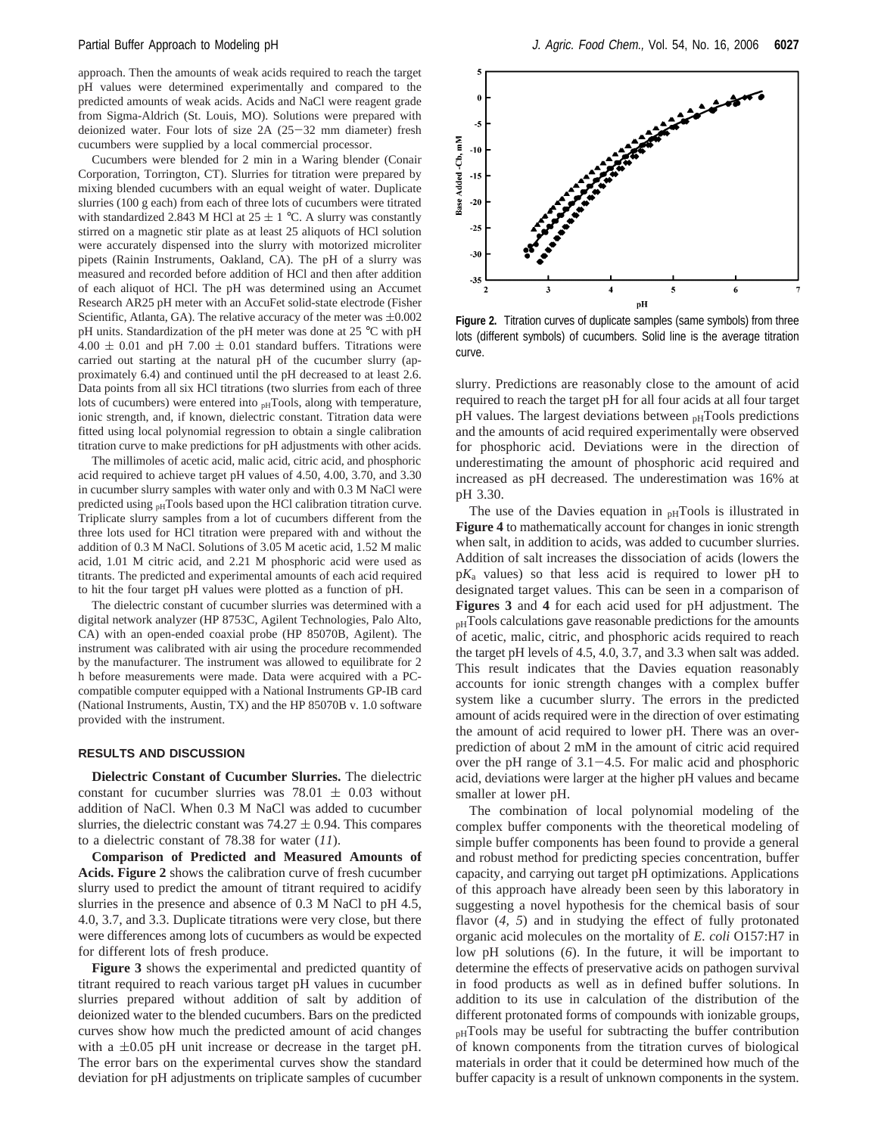approach. Then the amounts of weak acids required to reach the target pH values were determined experimentally and compared to the predicted amounts of weak acids. Acids and NaCl were reagent grade from Sigma-Aldrich (St. Louis, MO). Solutions were prepared with deionized water. Four lots of size 2A (25-32 mm diameter) fresh cucumbers were supplied by a local commercial processor.

Cucumbers were blended for 2 min in a Waring blender (Conair Corporation, Torrington, CT). Slurries for titration were prepared by mixing blended cucumbers with an equal weight of water. Duplicate slurries (100 g each) from each of three lots of cucumbers were titrated with standardized 2.843 M HCl at  $25 \pm 1$  °C. A slurry was constantly stirred on a magnetic stir plate as at least 25 aliquots of HCl solution were accurately dispensed into the slurry with motorized microliter pipets (Rainin Instruments, Oakland, CA). The pH of a slurry was measured and recorded before addition of HCl and then after addition of each aliquot of HCl. The pH was determined using an Accumet Research AR25 pH meter with an AccuFet solid-state electrode (Fisher Scientific, Atlanta, GA). The relative accuracy of the meter was  $\pm 0.002$ pH units. Standardization of the pH meter was done at 25 °C with pH  $4.00 \pm 0.01$  and pH 7.00  $\pm$  0.01 standard buffers. Titrations were carried out starting at the natural pH of the cucumber slurry (approximately 6.4) and continued until the pH decreased to at least 2.6. Data points from all six HCl titrations (two slurries from each of three lots of cucumbers) were entered into  $_{pH}$ Tools, along with temperature, ionic strength, and, if known, dielectric constant. Titration data were fitted using local polynomial regression to obtain a single calibration titration curve to make predictions for pH adjustments with other acids.

The millimoles of acetic acid, malic acid, citric acid, and phosphoric acid required to achieve target pH values of 4.50, 4.00, 3.70, and 3.30 in cucumber slurry samples with water only and with 0.3 M NaCl were predicted using pHTools based upon the HCl calibration titration curve. Triplicate slurry samples from a lot of cucumbers different from the three lots used for HCl titration were prepared with and without the addition of 0.3 M NaCl. Solutions of 3.05 M acetic acid, 1.52 M malic acid, 1.01 M citric acid, and 2.21 M phosphoric acid were used as titrants. The predicted and experimental amounts of each acid required to hit the four target pH values were plotted as a function of pH.

The dielectric constant of cucumber slurries was determined with a digital network analyzer (HP 8753C, Agilent Technologies, Palo Alto, CA) with an open-ended coaxial probe (HP 85070B, Agilent). The instrument was calibrated with air using the procedure recommended by the manufacturer. The instrument was allowed to equilibrate for 2 h before measurements were made. Data were acquired with a PCcompatible computer equipped with a National Instruments GP-IB card (National Instruments, Austin, TX) and the HP 85070B v. 1.0 software provided with the instrument.

#### **RESULTS AND DISCUSSION**

**Dielectric Constant of Cucumber Slurries.** The dielectric constant for cucumber slurries was  $78.01 \pm 0.03$  without addition of NaCl. When 0.3 M NaCl was added to cucumber slurries, the dielectric constant was  $74.27 \pm 0.94$ . This compares to a dielectric constant of 78.38 for water (*11*).

**Comparison of Predicted and Measured Amounts of Acids. Figure 2** shows the calibration curve of fresh cucumber slurry used to predict the amount of titrant required to acidify slurries in the presence and absence of 0.3 M NaCl to pH 4.5, 4.0, 3.7, and 3.3. Duplicate titrations were very close, but there were differences among lots of cucumbers as would be expected for different lots of fresh produce.

**Figure 3** shows the experimental and predicted quantity of titrant required to reach various target pH values in cucumber slurries prepared without addition of salt by addition of deionized water to the blended cucumbers. Bars on the predicted curves show how much the predicted amount of acid changes with a  $\pm 0.05$  pH unit increase or decrease in the target pH. The error bars on the experimental curves show the standard deviation for pH adjustments on triplicate samples of cucumber



**Figure 2.** Titration curves of duplicate samples (same symbols) from three lots (different symbols) of cucumbers. Solid line is the average titration curve.

slurry. Predictions are reasonably close to the amount of acid required to reach the target pH for all four acids at all four target pH values. The largest deviations between <sub>pH</sub>Tools predictions and the amounts of acid required experimentally were observed for phosphoric acid. Deviations were in the direction of underestimating the amount of phosphoric acid required and increased as pH decreased. The underestimation was 16% at pH 3.30.

The use of the Davies equation in  $_{\text{pH}}$ Tools is illustrated in **Figure 4** to mathematically account for changes in ionic strength when salt, in addition to acids, was added to cucumber slurries. Addition of salt increases the dissociation of acids (lowers the p*K*<sup>a</sup> values) so that less acid is required to lower pH to designated target values. This can be seen in a comparison of **Figures 3** and **4** for each acid used for pH adjustment. The pHTools calculations gave reasonable predictions for the amounts of acetic, malic, citric, and phosphoric acids required to reach the target pH levels of 4.5, 4.0, 3.7, and 3.3 when salt was added. This result indicates that the Davies equation reasonably accounts for ionic strength changes with a complex buffer system like a cucumber slurry. The errors in the predicted amount of acids required were in the direction of over estimating the amount of acid required to lower pH. There was an overprediction of about 2 mM in the amount of citric acid required over the pH range of  $3.1-4.5$ . For malic acid and phosphoric acid, deviations were larger at the higher pH values and became smaller at lower pH.

The combination of local polynomial modeling of the complex buffer components with the theoretical modeling of simple buffer components has been found to provide a general and robust method for predicting species concentration, buffer capacity, and carrying out target pH optimizations. Applications of this approach have already been seen by this laboratory in suggesting a novel hypothesis for the chemical basis of sour flavor  $(4, 5)$  and in studying the effect of fully protonated organic acid molecules on the mortality of *E. coli* O157:H7 in low pH solutions (*6*). In the future, it will be important to determine the effects of preservative acids on pathogen survival in food products as well as in defined buffer solutions. In addition to its use in calculation of the distribution of the different protonated forms of compounds with ionizable groups, pHTools may be useful for subtracting the buffer contribution of known components from the titration curves of biological materials in order that it could be determined how much of the buffer capacity is a result of unknown components in the system.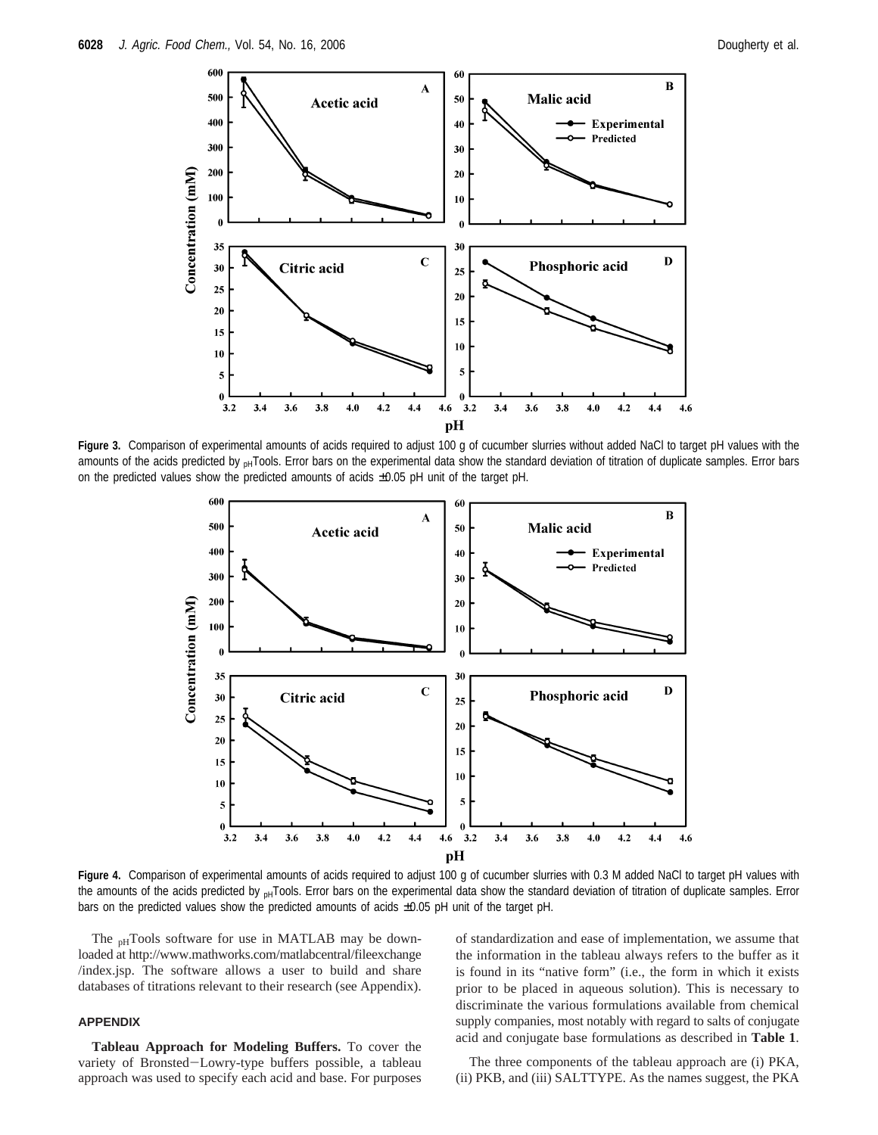

**Figure 3.** Comparison of experimental amounts of acids required to adjust 100 g of cucumber slurries without added NaCl to target pH values with the amounts of the acids predicted by <sub>pH</sub>Tools. Error bars on the experimental data show the standard deviation of titration of duplicate samples. Error bars on the predicted values show the predicted amounts of acids  $\pm 0.05$  pH unit of the target pH.



**Figure 4.** Comparison of experimental amounts of acids required to adjust 100 g of cucumber slurries with 0.3 M added NaCl to target pH values with the amounts of the acids predicted by  $_{\text{p+T}}$ ools. Error bars on the experimental data show the standard deviation of titration of duplicate samples. Error bars on the predicted values show the predicted amounts of acids  $\pm 0.05$  pH unit of the target pH.

The **pHTools** software for use in MATLAB may be downloaded at http://www.mathworks.com/matlabcentral/fileexchange /index.jsp. The software allows a user to build and share databases of titrations relevant to their research (see Appendix).

### **APPENDIX**

**Tableau Approach for Modeling Buffers.** To cover the variety of Bronsted-Lowry-type buffers possible, a tableau approach was used to specify each acid and base. For purposes of standardization and ease of implementation, we assume that the information in the tableau always refers to the buffer as it is found in its "native form" (i.e., the form in which it exists prior to be placed in aqueous solution). This is necessary to discriminate the various formulations available from chemical supply companies, most notably with regard to salts of conjugate acid and conjugate base formulations as described in **Table 1**.

The three components of the tableau approach are (i) PKA, (ii) PKB, and (iii) SALTTYPE. As the names suggest, the PKA